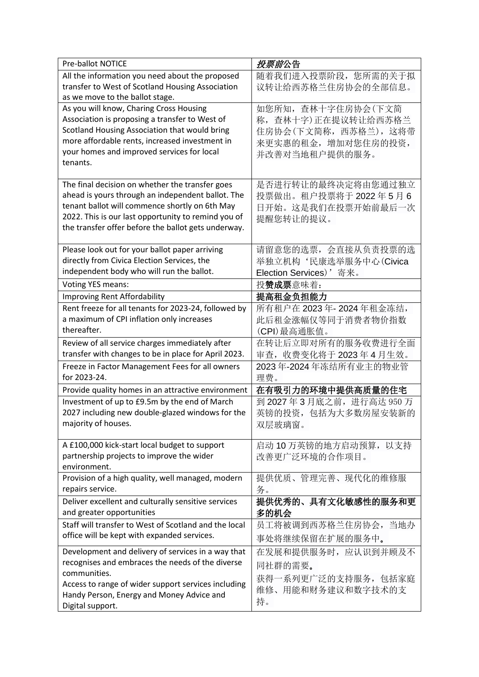| <b>Pre-ballot NOTICE</b>                                                                   | 投票前公告                    |
|--------------------------------------------------------------------------------------------|--------------------------|
| All the information you need about the proposed                                            | 随着我们进入投票阶段, 您所需的关于拟      |
| transfer to West of Scotland Housing Association                                           | 议转让给西苏格兰住房协会的全部信息。       |
| as we move to the ballot stage.                                                            |                          |
| As you will know, Charing Cross Housing                                                    | 如您所知, 查林十字住房协会(下文简       |
| Association is proposing a transfer to West of                                             | 称, 查林十字)正在提议转让给西苏格兰      |
| Scotland Housing Association that would bring                                              | 住房协会(下文简称, 西苏格兰), 这将带    |
| more affordable rents, increased investment in                                             | 来更实惠的租金, 增加对您住房的投资,      |
| your homes and improved services for local                                                 | 并改善对当地租户提供的服务。           |
| tenants.                                                                                   |                          |
| The final decision on whether the transfer goes                                            | 是否进行转让的最终决定将由您通过独立       |
| ahead is yours through an independent ballot. The                                          | 投票做出。租户投票将于2022年5月6      |
| tenant ballot will commence shortly on 6th May                                             | 日开始。这是我们在投票开始前最后一次       |
| 2022. This is our last opportunity to remind you of                                        | 提醒您转让的提议。                |
| the transfer offer before the ballot gets underway.                                        |                          |
|                                                                                            |                          |
| Please look out for your ballot paper arriving                                             | 请留意您的选票, 会直接从负责投票的选      |
| directly from Civica Election Services, the                                                | 举独立机构'民康选举服务中心(Civica    |
| independent body who will run the ballot.                                                  | Election Services)' 寄来。  |
| <b>Voting YES means:</b>                                                                   | 投赞成票意味着:                 |
| <b>Improving Rent Affordability</b>                                                        | 提高租金负担能力                 |
| Rent freeze for all tenants for 2023-24, followed by                                       | 所有租户在 2023年-2024年租金冻结,   |
| a maximum of CPI inflation only increases                                                  | 此后租金涨幅仅等同于消费者物价指数        |
| thereafter.                                                                                | (CPI)最高通胀值。              |
| Review of all service charges immediately after                                            | 在转让后立即对所有的服务收费进行全面       |
| transfer with changes to be in place for April 2023.                                       | 审查, 收费变化将于 2023年4月生效。    |
|                                                                                            |                          |
| Freeze in Factor Management Fees for all owners                                            | 2023年-2024年冻结所有业主的物业管    |
| for 2023-24.                                                                               | 理费。                      |
| Provide quality homes in an attractive environment                                         | 在有吸引力的环境中提供高质量的住宅        |
| Investment of up to £9.5m by the end of March                                              | 到 2027年3月底之前, 进行高达 950 万 |
| 2027 including new double-glazed windows for the                                           | 英镑的投资, 包括为大多数房屋安装新的      |
| majority of houses.                                                                        | 双层玻璃窗。                   |
|                                                                                            | 启动10万英镑的地方启动预算,以支持       |
| A £100,000 kick-start local budget to support<br>partnership projects to improve the wider |                          |
| environment.                                                                               | 改善更广泛环境的合作项目。            |
| Provision of a high quality, well managed, modern                                          | 提供优质、管理完善、现代化的维修服        |
| repairs service.                                                                           | 务。                       |
| Deliver excellent and culturally sensitive services                                        | 提供优秀的、具有文化敏感性的服务和更       |
| and greater opportunities                                                                  | 多的机会                     |
| Staff will transfer to West of Scotland and the local                                      | 员工将被调到西苏格兰住房协会, 当地办      |
| office will be kept with expanded services.                                                | 事处将继续保留在扩展的服务中。          |
| Development and delivery of services in a way that                                         | 在发展和提供服务时, 应认识到并顾及不      |
| recognises and embraces the needs of the diverse                                           |                          |
| communities.                                                                               | 同社群的需要。                  |
| Access to range of wider support services including                                        | 获得一系列更广泛的支持服务, 包括家庭      |
| Handy Person, Energy and Money Advice and<br>Digital support.                              | 维修、用能和财务建议和数字技术的支<br>持。  |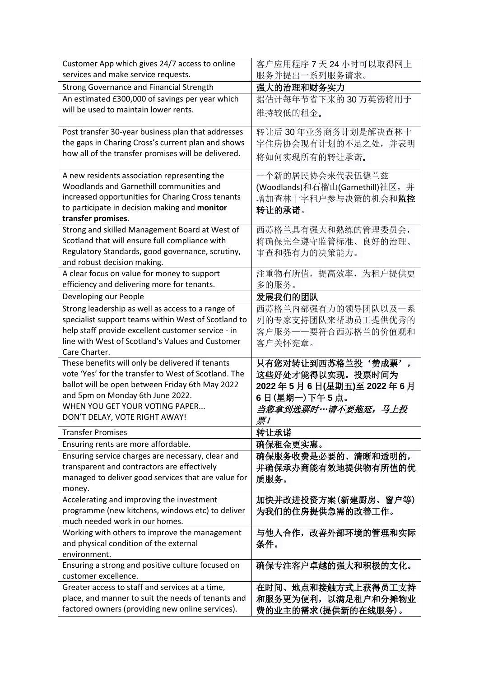| Customer App which gives 24/7 access to online                                                         | 客户应用程序 7 天 24 小时可以取得网上           |
|--------------------------------------------------------------------------------------------------------|----------------------------------|
| services and make service requests.                                                                    | 服务并提出一系列服务请求。                    |
| Strong Governance and Financial Strength                                                               | 强大的治理和财务实力                       |
| An estimated £300,000 of savings per year which                                                        | 据估计每年节省下来的30万英镑将用于               |
| will be used to maintain lower rents.                                                                  | 维持较低的租金。                         |
| Post transfer 30-year business plan that addresses                                                     | 转让后30年业务商务计划是解决查林十               |
| the gaps in Charing Cross's current plan and shows                                                     | 字住房协会现有计划的不足之处,并表明               |
| how all of the transfer promises will be delivered.                                                    | 将如何实现所有的转让承诺。                    |
|                                                                                                        |                                  |
| A new residents association representing the                                                           | 一个新的居民协会来代表伍德兰兹                  |
| Woodlands and Garnethill communities and                                                               | (Woodlands)和石榴山(Garnethill)社区, 并 |
| increased opportunities for Charing Cross tenants                                                      | 增加查林十字租户参与决策的机会和监控               |
| to participate in decision making and monitor                                                          | 转让的承诺。                           |
| transfer promises.                                                                                     |                                  |
| Strong and skilled Management Board at West of                                                         | 西苏格兰具有强大和熟练的管理委员会,               |
| Scotland that will ensure full compliance with                                                         | 将确保完全遵守监管标准、良好的治理、               |
| Regulatory Standards, good governance, scrutiny,                                                       | 审查和强有力的决策能力。                     |
| and robust decision making.                                                                            |                                  |
| A clear focus on value for money to support                                                            | 注重物有所值, 提高效率, 为租户提供更             |
| efficiency and delivering more for tenants.                                                            | 多的服务。                            |
| Developing our People                                                                                  | 发展我们的团队                          |
| Strong leadership as well as access to a range of                                                      | 西苏格兰内部强有力的领导团队以及一系               |
| specialist support teams within West of Scotland to                                                    | 列的专家支持团队来帮助员工提供优秀的               |
| help staff provide excellent customer service - in<br>line with West of Scotland's Values and Customer | 客户服务——要符合西苏格兰的价值观和               |
| Care Charter.                                                                                          | 客户关怀宪章。                          |
| These benefits will only be delivered if tenants                                                       | 只有您对转让到西苏格兰投'赞成票',               |
| vote 'Yes' for the transfer to West of Scotland. The                                                   | 这些好处才能得以实现。投票时间为                 |
| ballot will be open between Friday 6th May 2022                                                        | 2022年5月6日(星期五)至2022年6月           |
| and 5pm on Monday 6th June 2022.                                                                       | 6日(星期一)下午5点。                     |
| WHEN YOU GET YOUR VOTING PAPER                                                                         |                                  |
| DON'T DELAY, VOTE RIGHT AWAY!                                                                          | 当您拿到选票时…请不要拖延,马上投<br>票!          |
| <b>Transfer Promises</b>                                                                               | 转让承诺                             |
| Ensuring rents are more affordable.                                                                    | 确保租金更实惠。                         |
| Ensuring service charges are necessary, clear and                                                      | 确保服务收费是必要的、清晰和透明的,               |
| transparent and contractors are effectively                                                            | 并确保承办商能有效地提供物有所值的优               |
| managed to deliver good services that are value for                                                    | 质服务。                             |
| money.                                                                                                 |                                  |
| Accelerating and improving the investment                                                              | 加快并改进投资方案(新建厨房、窗户等)              |
| programme (new kitchens, windows etc) to deliver                                                       | 为我们的住房提供急需的改善工作。                 |
| much needed work in our homes.                                                                         |                                  |
| Working with others to improve the management                                                          | 与他人合作,改善外部环境的管理和实际               |
| and physical condition of the external                                                                 | 条件。                              |
| environment.                                                                                           |                                  |
| Ensuring a strong and positive culture focused on                                                      | 确保专注客户卓越的强大和积极的文化。               |
| customer excellence.                                                                                   |                                  |
| Greater access to staff and services at a time,                                                        | 在时间、地点和接触方式上获得员工支持               |
| place, and manner to suit the needs of tenants and                                                     | 和服务更为便利,以满足租户和分摊物业               |
| factored owners (providing new online services).                                                       | 费的业主的需求(提供新的在线服务)。               |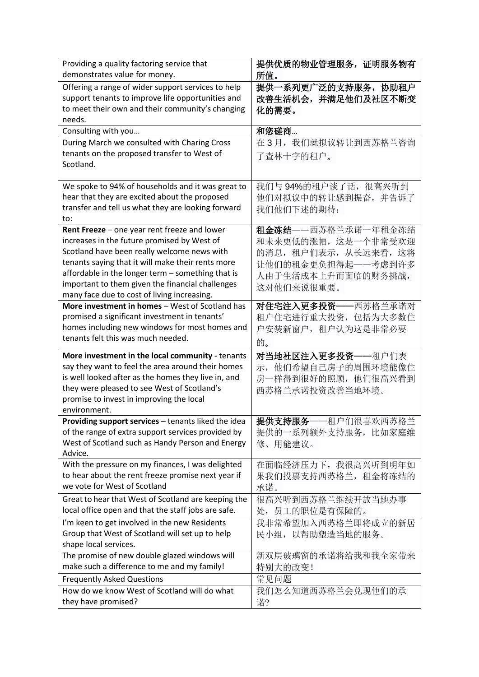| Providing a quality factoring service that<br>demonstrates value for money.                                                                                     | 提供优质的物业管理服务, 证明服务物有<br>所值。                              |
|-----------------------------------------------------------------------------------------------------------------------------------------------------------------|---------------------------------------------------------|
| Offering a range of wider support services to help<br>support tenants to improve life opportunities and<br>to meet their own and their community's changing     | 提供一系列更广泛的支持服务, 协助租户<br>改善生活机会,并满足他们及社区不断变<br>化的需要。      |
| needs.                                                                                                                                                          |                                                         |
| Consulting with you                                                                                                                                             | 和您磋商                                                    |
| During March we consulted with Charing Cross<br>tenants on the proposed transfer to West of<br>Scotland.                                                        | 在3月,我们就拟议转让到西苏格兰咨询<br>了查林十字的租户。                         |
| We spoke to 94% of households and it was great to<br>hear that they are excited about the proposed<br>transfer and tell us what they are looking forward<br>to: | 我们与94%的租户谈了话,很高兴听到<br>他们对拟议中的转让感到振奋, 并告诉了<br>我们他们下述的期待: |
| Rent Freeze - one year rent freeze and lower                                                                                                                    | 租金冻结——西苏格兰承诺一年租金冻结                                      |
| increases in the future promised by West of                                                                                                                     | 和未来更低的涨幅, 这是一个非常受欢迎                                     |
| Scotland have been really welcome news with                                                                                                                     | 的消息, 租户们表示, 从长远来看, 这将                                   |
| tenants saying that it will make their rents more<br>affordable in the longer term - something that is                                                          | 让他们的租金更负担得起——考虑到许多                                      |
| important to them given the financial challenges                                                                                                                | 人由于生活成本上升而面临的财务挑战,                                      |
| many face due to cost of living increasing.                                                                                                                     | 这对他们来说很重要。                                              |
| More investment in homes - West of Scotland has                                                                                                                 | 对住宅注入更多投资 -- 西苏格兰承诺对                                    |
| promised a significant investment in tenants'                                                                                                                   | 租户住宅进行重大投资, 包括为大多数住                                     |
| homes including new windows for most homes and                                                                                                                  | 户安装新窗户, 租户认为这是非常必要                                      |
| tenants felt this was much needed.                                                                                                                              | 的。                                                      |
| More investment in the local community - tenants                                                                                                                | 对当地社区注入更多投资一<br>−租户们表                                   |
| say they want to feel the area around their homes                                                                                                               | 示, 他们希望自己房子的周围环境能像住                                     |
| is well looked after as the homes they live in, and                                                                                                             | 房一样得到很好的照顾, 他们很高兴看到                                     |
| they were pleased to see West of Scotland's                                                                                                                     | 西苏格兰承诺投资改善当地环境。                                         |
| promise to invest in improving the local<br>environment.                                                                                                        |                                                         |
| Providing support services - tenants liked the idea                                                                                                             | 提供支持服务——租户们很喜欢西苏格兰                                      |
| of the range of extra support services provided by                                                                                                              | 提供的一系列额外支持服务, 比如家庭维                                     |
| West of Scotland such as Handy Person and Energy                                                                                                                | 修、用能建议。                                                 |
| Advice.                                                                                                                                                         |                                                         |
| With the pressure on my finances, I was delighted                                                                                                               | 在面临经济压力下, 我很高兴听到明年如                                     |
| to hear about the rent freeze promise next year if<br>we vote for West of Scotland                                                                              | 果我们投票支持西苏格兰, 租金将冻结的                                     |
|                                                                                                                                                                 | 承诺。<br>很高兴听到西苏格兰继续开放当地办事                                |
| Great to hear that West of Scotland are keeping the<br>local office open and that the staff jobs are safe.                                                      | 处,员工的职位是有保障的。                                           |
| I'm keen to get involved in the new Residents                                                                                                                   | 我非常希望加入西苏格兰即将成立的新居                                      |
| Group that West of Scotland will set up to help                                                                                                                 | 民小组, 以帮助塑造当地的服务。                                        |
| shape local services.                                                                                                                                           |                                                         |
| The promise of new double glazed windows will                                                                                                                   | 新双层玻璃窗的承诺将给我和我全家带来                                      |
| make such a difference to me and my family!                                                                                                                     | 特别大的改变!                                                 |
| <b>Frequently Asked Questions</b>                                                                                                                               | 常见问题                                                    |
| How do we know West of Scotland will do what                                                                                                                    | 我们怎么知道西苏格兰会兑现他们的承                                       |
| they have promised?                                                                                                                                             | 诺?                                                      |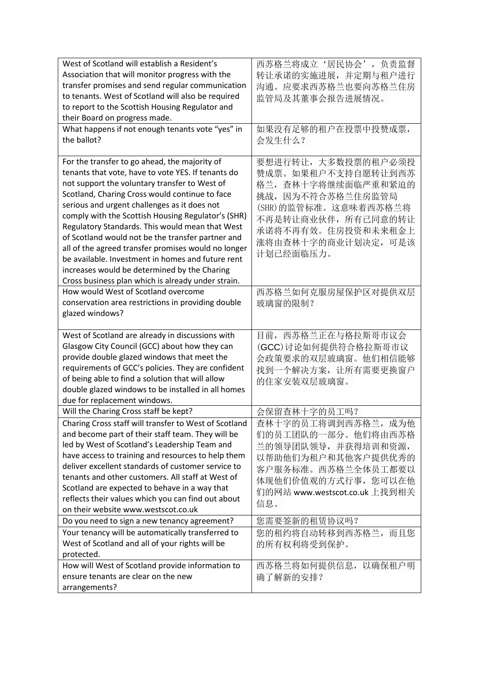| West of Scotland will establish a Resident's          | 西苏格兰将成立'居民协会',负责监督            |
|-------------------------------------------------------|-------------------------------|
| Association that will monitor progress with the       | 转让承诺的实施进展,并定期与租户进行            |
| transfer promises and send regular communication      | 沟通。应要求西苏格兰也要向苏格兰住房            |
| to tenants. West of Scotland will also be required    | 监管局及其董事会报告进展情况。               |
| to report to the Scottish Housing Regulator and       |                               |
| their Board on progress made.                         |                               |
| What happens if not enough tenants vote "yes" in      | 如果没有足够的租户在投票中投赞成票,            |
| the ballot?                                           | 会发生什么?                        |
|                                                       |                               |
| For the transfer to go ahead, the majority of         | 要想进行转让,大多数投票的租户必须投            |
| tenants that vote, have to vote YES. If tenants do    | 赞成票。如果租户不支持自愿转让到西苏            |
| not support the voluntary transfer to West of         | 格兰, 查林十字将继续面临严重和紧迫的           |
| Scotland, Charing Cross would continue to face        | 挑战, 因为不符合苏格兰住房监管局             |
| serious and urgent challenges as it does not          | (SHR)的监管标准。这意味着西苏格兰将          |
| comply with the Scottish Housing Regulator's (SHR)    | 不再是转让商业伙伴,所有已同意的转让            |
| Regulatory Standards. This would mean that West       | 承诺将不再有效。住房投资和未来租金上            |
| of Scotland would not be the transfer partner and     | 涨将由查林十字的商业计划决定, 可是该           |
| all of the agreed transfer promises would no longer   | 计划已经面临压力。                     |
| be available. Investment in homes and future rent     |                               |
| increases would be determined by the Charing          |                               |
| Cross business plan which is already under strain.    |                               |
| How would West of Scotland overcome                   | 西苏格兰如何克服房屋保护区对提供双层            |
| conservation area restrictions in providing double    | 玻璃窗的限制?                       |
| glazed windows?                                       |                               |
|                                                       |                               |
|                                                       |                               |
| West of Scotland are already in discussions with      | 目前, 西苏格兰正在与格拉斯哥市议会            |
| Glasgow City Council (GCC) about how they can         | (GCC)讨论如何提供符合格拉斯哥市议           |
| provide double glazed windows that meet the           | 会政策要求的双层玻璃窗。他们相信能够            |
| requirements of GCC's policies. They are confident    | 找到一个解决方案, 让所有需要更换窗户           |
| of being able to find a solution that will allow      | 的住家安装双层玻璃窗。                   |
| double glazed windows to be installed in all homes    |                               |
| due for replacement windows.                          |                               |
| Will the Charing Cross staff be kept?                 | 会保留查林十字的员工吗?                  |
| Charing Cross staff will transfer to West of Scotland | 查林十字的员工将调到西苏格兰, 成为他           |
| and become part of their staff team. They will be     | 们的员工团队的一部分。他们将由西苏格            |
| led by West of Scotland's Leadership Team and         | 兰的领导团队领导,并获得培训和资源,            |
| have access to training and resources to help them    | 以帮助他们为租户和其他客户提供优秀的            |
| deliver excellent standards of customer service to    | 客户服务标准。西苏格兰全体员工都要以            |
| tenants and other customers. All staff at West of     | 体现他们价值观的方式行事, 您可以在他           |
| Scotland are expected to behave in a way that         | 们的网站 www.westscot.co.uk 上找到相关 |
| reflects their values which you can find out about    | 信息。                           |
| on their website www.westscot.co.uk                   |                               |
| Do you need to sign a new tenancy agreement?          | 您需要签新的租赁协议吗?                  |
| Your tenancy will be automatically transferred to     | 您的租约将自动转移到西苏格兰,而且您            |
| West of Scotland and all of your rights will be       | 的所有权利将受到保护。                   |
| protected.                                            |                               |
| How will West of Scotland provide information to      | 西苏格兰将如何提供信息, 以确保租户明           |
| ensure tenants are clear on the new<br>arrangements?  | 确了解新的安排?                      |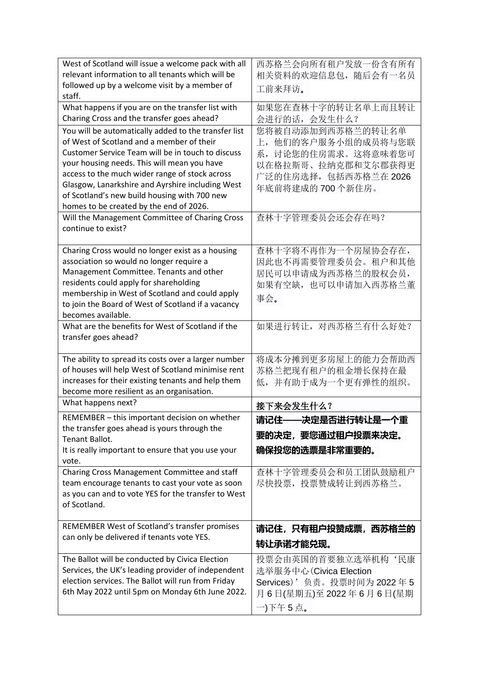| West of Scotland will issue a welcome pack with all<br>relevant information to all tenants which will be<br>followed up by a welcome visit by a member of                                                                                                                                                                                                                                              | 西苏格兰会向所有租户发放一份含有所有<br>相关资料的欢迎信息包, 随后会有一名员<br>工前来拜访。                                                                               |
|--------------------------------------------------------------------------------------------------------------------------------------------------------------------------------------------------------------------------------------------------------------------------------------------------------------------------------------------------------------------------------------------------------|-----------------------------------------------------------------------------------------------------------------------------------|
| staff.<br>What happens if you are on the transfer list with<br>Charing Cross and the transfer goes ahead?                                                                                                                                                                                                                                                                                              | 如果您在查林十字的转让名单上而且转让<br>会进行的话, 会发生什么?                                                                                               |
| You will be automatically added to the transfer list<br>of West of Scotland and a member of their<br>Customer Service Team will be in touch to discuss<br>your housing needs. This will mean you have<br>access to the much wider range of stock across<br>Glasgow, Lanarkshire and Ayrshire including West<br>of Scotland's new build housing with 700 new<br>homes to be created by the end of 2026. | 您将被自动添加到西苏格兰的转让名单<br>上, 他们的客户服务小组的成员将与您联<br>系, 讨论您的住房需求。这将意味着您可<br>以在格拉斯哥、拉纳克郡和艾尔郡获得更<br>广泛的住房选择, 包括西苏格兰在 2026<br>年底前将建成的700个新住房。 |
| Will the Management Committee of Charing Cross<br>continue to exist?                                                                                                                                                                                                                                                                                                                                   | 查林十字管理委员会还会存在吗?                                                                                                                   |
| Charing Cross would no longer exist as a housing<br>association so would no longer require a<br>Management Committee. Tenants and other<br>residents could apply for shareholding<br>membership in West of Scotland and could apply<br>to join the Board of West of Scotland if a vacancy<br>becomes available.                                                                                        | 查林十字将不再作为一个房屋协会存在,<br>因此也不再需要管理委员会。租户和其他<br>居民可以申请成为西苏格兰的股权会员,<br>如果有空缺, 也可以申请加入西苏格兰董<br>事会。                                      |
| What are the benefits for West of Scotland if the<br>transfer goes ahead?                                                                                                                                                                                                                                                                                                                              | 如果进行转让, 对西苏格兰有什么好处?                                                                                                               |
| The ability to spread its costs over a larger number<br>of houses will help West of Scotland minimise rent<br>increases for their existing tenants and help them<br>become more resilient as an organisation.                                                                                                                                                                                          | 将成本分摊到更多房屋上的能力会帮助西<br>苏格兰把现有租户的租金增长保持在最<br>低,并有助于成为一个更有弹性的组织。                                                                     |
| What happens next?                                                                                                                                                                                                                                                                                                                                                                                     | 接下来会发生什么?                                                                                                                         |
| REMEMBER - this important decision on whether<br>the transfer goes ahead is yours through the<br>Tenant Ballot.<br>It is really important to ensure that you use your<br>vote.                                                                                                                                                                                                                         | 请记住——决定是否进行转让是一个重<br>要的决定,要您通过租户投票来决定。<br>确保投您的选票是非常重要的。                                                                          |
| Charing Cross Management Committee and staff<br>team encourage tenants to cast your vote as soon<br>as you can and to vote YES for the transfer to West<br>of Scotland.                                                                                                                                                                                                                                | 查林十字管理委员会和员工团队鼓励租户<br>尽快投票, 投票赞成转让到西苏格兰。                                                                                          |
| REMEMBER West of Scotland's transfer promises<br>can only be delivered if tenants vote YES.                                                                                                                                                                                                                                                                                                            | 请记住,只有租户投赞成票,西苏格兰的<br>转让承诺才能兑现。                                                                                                   |
| The Ballot will be conducted by Civica Election<br>Services, the UK's leading provider of independent<br>election services. The Ballot will run from Friday<br>6th May 2022 until 5pm on Monday 6th June 2022.                                                                                                                                                                                         | 投票会由英国的首要独立选举机构'民康<br>选举服务中心 (Civica Election<br>Services)'负责。投票时间为 2022年5<br>月6日(星期五)至 2022年6月6日(星期<br>一)下午5点。                   |